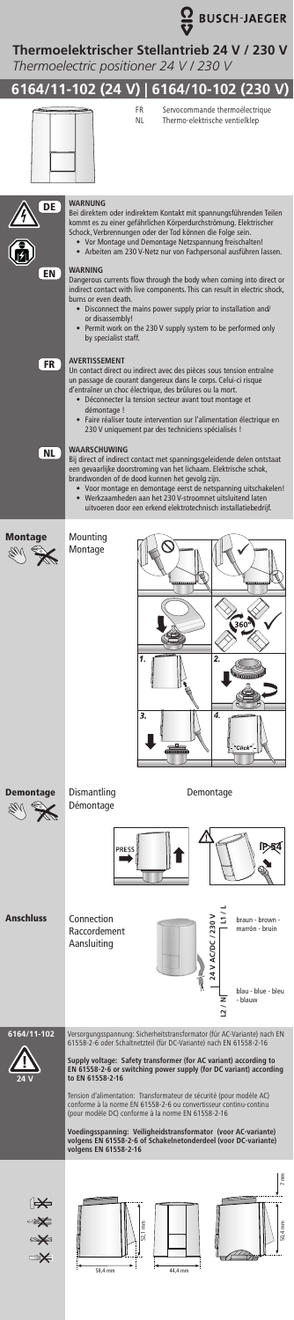